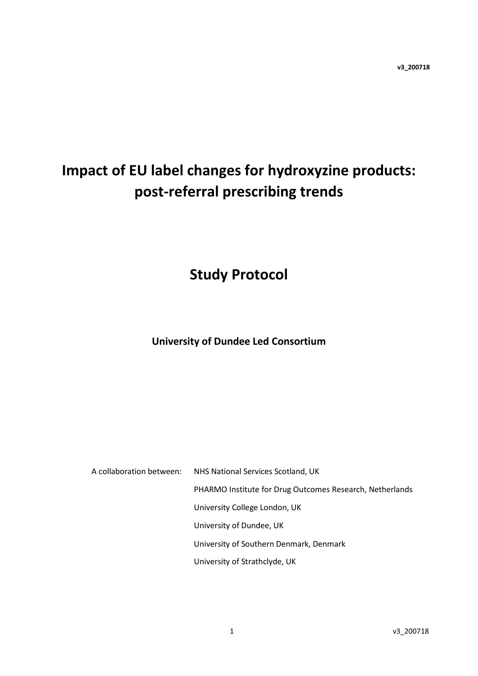# **Impact of EU label changes for hydroxyzine products: post-referral prescribing trends**

## **Study Protocol**

### **University of Dundee Led Consortium**

A collaboration between: NHS National Services Scotland, UK PHARMO Institute for Drug Outcomes Research, Netherlands University College London, UK University of Dundee, UK University of Southern Denmark, Denmark University of Strathclyde, UK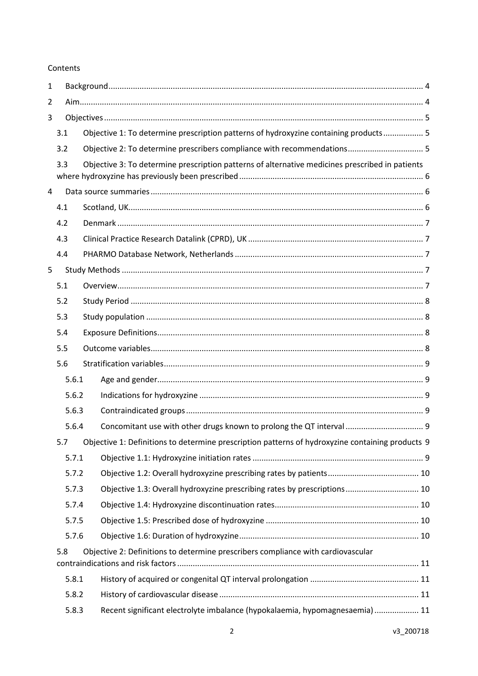#### Contents

| $\mathbf{1}$   |                |       |                                                                                                      |  |  |  |  |  |  |
|----------------|----------------|-------|------------------------------------------------------------------------------------------------------|--|--|--|--|--|--|
| 2              |                |       |                                                                                                      |  |  |  |  |  |  |
| 3              |                |       |                                                                                                      |  |  |  |  |  |  |
| 3.1            |                |       | Objective 1: To determine prescription patterns of hydroxyzine containing products 5                 |  |  |  |  |  |  |
|                | 3.2            |       | Objective 2: To determine prescribers compliance with recommendations 5                              |  |  |  |  |  |  |
|                | 3.3            |       | Objective 3: To determine prescription patterns of alternative medicines prescribed in patients      |  |  |  |  |  |  |
|                |                |       |                                                                                                      |  |  |  |  |  |  |
| $\overline{4}$ |                |       |                                                                                                      |  |  |  |  |  |  |
|                | 4.1            |       |                                                                                                      |  |  |  |  |  |  |
|                | 4.2            |       |                                                                                                      |  |  |  |  |  |  |
|                | 4.3            |       |                                                                                                      |  |  |  |  |  |  |
|                | 4.4            |       |                                                                                                      |  |  |  |  |  |  |
| 5              |                |       |                                                                                                      |  |  |  |  |  |  |
|                | 5.1            |       |                                                                                                      |  |  |  |  |  |  |
|                | 5.2            |       |                                                                                                      |  |  |  |  |  |  |
|                | 5.3            |       |                                                                                                      |  |  |  |  |  |  |
|                | 5.4            |       |                                                                                                      |  |  |  |  |  |  |
|                | 5.5            |       |                                                                                                      |  |  |  |  |  |  |
|                | 5.6            |       |                                                                                                      |  |  |  |  |  |  |
|                |                | 5.6.1 |                                                                                                      |  |  |  |  |  |  |
|                |                | 5.6.2 |                                                                                                      |  |  |  |  |  |  |
|                |                | 5.6.3 |                                                                                                      |  |  |  |  |  |  |
|                |                | 5.6.4 | Concomitant use with other drugs known to prolong the QT interval  9                                 |  |  |  |  |  |  |
|                |                |       | 5.7 Objective 1: Definitions to determine prescription patterns of hydroxyzine containing products 9 |  |  |  |  |  |  |
|                |                | 5.7.1 |                                                                                                      |  |  |  |  |  |  |
|                |                | 5.7.2 |                                                                                                      |  |  |  |  |  |  |
|                | 5.7.3<br>5.7.4 |       | Objective 1.3: Overall hydroxyzine prescribing rates by prescriptions 10                             |  |  |  |  |  |  |
|                |                |       |                                                                                                      |  |  |  |  |  |  |
|                |                | 5.7.5 |                                                                                                      |  |  |  |  |  |  |
|                |                | 5.7.6 |                                                                                                      |  |  |  |  |  |  |
|                | 5.8            |       | Objective 2: Definitions to determine prescribers compliance with cardiovascular                     |  |  |  |  |  |  |
|                |                | 5.8.1 |                                                                                                      |  |  |  |  |  |  |
|                |                | 5.8.2 |                                                                                                      |  |  |  |  |  |  |
|                |                | 5.8.3 | Recent significant electrolyte imbalance (hypokalaemia, hypomagnesaemia) 11                          |  |  |  |  |  |  |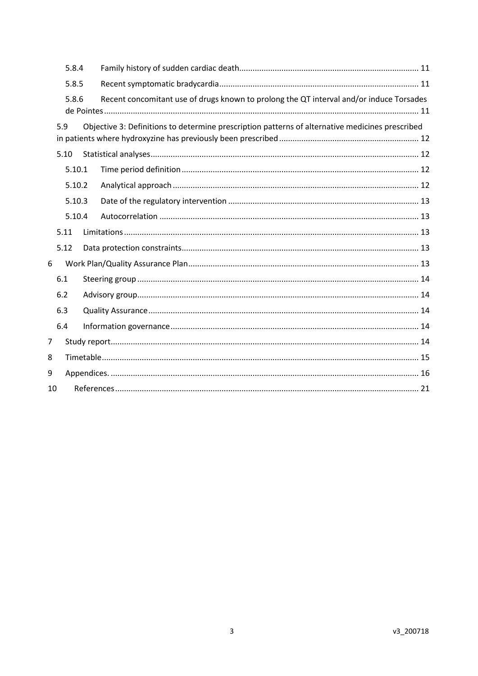|     | 5.8.4  |  |                                                                                                 |  |  |  |  |
|-----|--------|--|-------------------------------------------------------------------------------------------------|--|--|--|--|
|     | 5.8.5  |  |                                                                                                 |  |  |  |  |
|     | 5.8.6  |  | Recent concomitant use of drugs known to prolong the QT interval and/or induce Torsades         |  |  |  |  |
| 5.9 |        |  | Objective 3: Definitions to determine prescription patterns of alternative medicines prescribed |  |  |  |  |
|     | 5.10   |  |                                                                                                 |  |  |  |  |
|     | 5.10.1 |  |                                                                                                 |  |  |  |  |
|     | 5.10.2 |  |                                                                                                 |  |  |  |  |
|     | 5.10.3 |  |                                                                                                 |  |  |  |  |
|     | 5.10.4 |  |                                                                                                 |  |  |  |  |
|     | 5.11   |  |                                                                                                 |  |  |  |  |
|     | 5.12   |  |                                                                                                 |  |  |  |  |
| 6   |        |  |                                                                                                 |  |  |  |  |
|     | 6.1    |  |                                                                                                 |  |  |  |  |
|     | 6.2    |  |                                                                                                 |  |  |  |  |
|     | 6.3    |  |                                                                                                 |  |  |  |  |
|     | 6.4    |  |                                                                                                 |  |  |  |  |
| 7   |        |  |                                                                                                 |  |  |  |  |
| 8   |        |  |                                                                                                 |  |  |  |  |
| 9   |        |  |                                                                                                 |  |  |  |  |
| 10  |        |  |                                                                                                 |  |  |  |  |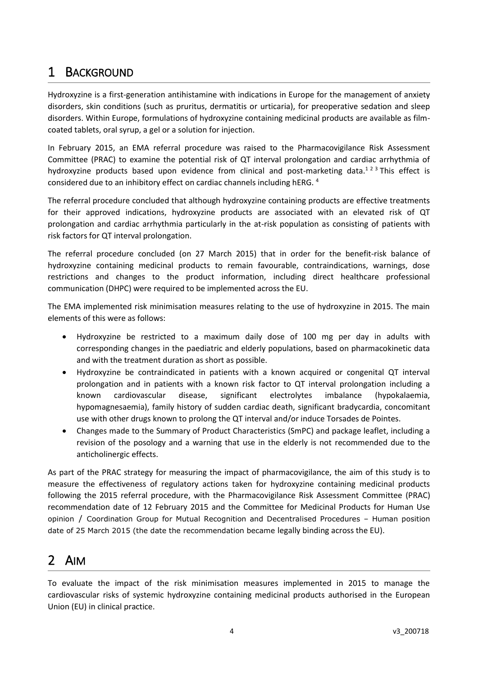## <span id="page-3-0"></span>1 BACKGROUND

Hydroxyzine is a first-generation antihistamine with indications in Europe for the management of anxiety disorders, skin conditions (such as pruritus, dermatitis or urticaria), for preoperative sedation and sleep disorders. Within Europe, formulations of hydroxyzine containing medicinal products are available as filmcoated tablets, oral syrup, a gel or a solution for injection.

In February 2015, an EMA referral procedure was raised to the Pharmacovigilance Risk Assessment Committee (PRAC) to examine the potential risk of QT interval prolongation and cardiac arrhythmia of hydroxyzine products based upon evidence from clinical and post-marketing data.<sup>123</sup> This effect is considered due to an inhibitory effect on cardiac channels including hERG. <sup>4</sup>

The referral procedure concluded that although hydroxyzine containing products are effective treatments for their approved indications, hydroxyzine products are associated with an elevated risk of QT prolongation and cardiac arrhythmia particularly in the at-risk population as consisting of patients with risk factors for QT interval prolongation.

The referral procedure concluded (on 27 March 2015) that in order for the benefit-risk balance of hydroxyzine containing medicinal products to remain favourable, contraindications, warnings, dose restrictions and changes to the product information, including direct healthcare professional communication (DHPC) were required to be implemented across the EU.

The EMA implemented risk minimisation measures relating to the use of hydroxyzine in 2015. The main elements of this were as follows:

- Hydroxyzine be restricted to a maximum daily dose of 100 mg per day in adults with corresponding changes in the paediatric and elderly populations, based on pharmacokinetic data and with the treatment duration as short as possible.
- Hydroxyzine be contraindicated in patients with a known acquired or congenital QT interval prolongation and in patients with a known risk factor to QT interval prolongation including a known cardiovascular disease, significant electrolytes imbalance (hypokalaemia, hypomagnesaemia), family history of sudden cardiac death, significant bradycardia, concomitant use with other drugs known to prolong the QT interval and/or induce Torsades de Pointes.
- Changes made to the Summary of Product Characteristics (SmPC) and package leaflet, including a revision of the posology and a warning that use in the elderly is not recommended due to the anticholinergic effects.

As part of the PRAC strategy for measuring the impact of pharmacovigilance, the aim of this study is to measure the effectiveness of regulatory actions taken for hydroxyzine containing medicinal products following the 2015 referral procedure, with the Pharmacovigilance Risk Assessment Committee (PRAC) recommendation date of 12 February 2015 and the Committee for Medicinal Products for Human Use opinion / Coordination Group for Mutual Recognition and Decentralised Procedures – Human position date of 25 March 2015 (the date the recommendation became legally binding across the EU).

## <span id="page-3-1"></span>2 AIM

To evaluate the impact of the risk minimisation measures implemented in 2015 to manage the cardiovascular risks of systemic hydroxyzine containing medicinal products authorised in the European Union (EU) in clinical practice.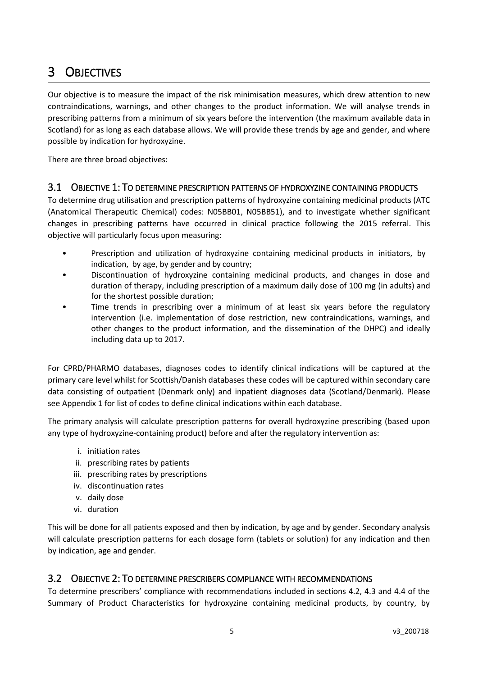## <span id="page-4-0"></span>3 OBJECTIVES

Our objective is to measure the impact of the risk minimisation measures, which drew attention to new contraindications, warnings, and other changes to the product information. We will analyse trends in prescribing patterns from a minimum of six years before the intervention (the maximum available data in Scotland) for as long as each database allows. We will provide these trends by age and gender, and where possible by indication for hydroxyzine.

There are three broad objectives:

#### <span id="page-4-1"></span>3.1 OBJECTIVE 1: TO DETERMINE PRESCRIPTION PATTERNS OF HYDROXYZINE CONTAINING PRODUCTS

To determine drug utilisation and prescription patterns of hydroxyzine containing medicinal products (ATC (Anatomical Therapeutic Chemical) codes: N05BB01, N05BB51), and to investigate whether significant changes in prescribing patterns have occurred in clinical practice following the 2015 referral. This objective will particularly focus upon measuring:

- Prescription and utilization of hydroxyzine containing medicinal products in initiators, by indication, by age, by gender and by country;
- Discontinuation of hydroxyzine containing medicinal products, and changes in dose and duration of therapy, including prescription of a maximum daily dose of 100 mg (in adults) and for the shortest possible duration;
- Time trends in prescribing over a minimum of at least six years before the regulatory intervention (i.e. implementation of dose restriction, new contraindications, warnings, and other changes to the product information, and the dissemination of the DHPC) and ideally including data up to 2017.

For CPRD/PHARMO databases, diagnoses codes to identify clinical indications will be captured at the primary care level whilst for Scottish/Danish databases these codes will be captured within secondary care data consisting of outpatient (Denmark only) and inpatient diagnoses data (Scotland/Denmark). Please see Appendix 1 for list of codes to define clinical indications within each database.

The primary analysis will calculate prescription patterns for overall hydroxyzine prescribing (based upon any type of hydroxyzine-containing product) before and after the regulatory intervention as:

- i. initiation rates
- ii. prescribing rates by patients
- iii. prescribing rates by prescriptions
- iv. discontinuation rates
- v. daily dose
- vi. duration

This will be done for all patients exposed and then by indication, by age and by gender. Secondary analysis will calculate prescription patterns for each dosage form (tablets or solution) for any indication and then by indication, age and gender.

#### <span id="page-4-2"></span>3.2 OBJECTIVE 2: TO DETERMINE PRESCRIBERS COMPLIANCE WITH RECOMMENDATIONS

To determine prescribers' compliance with recommendations included in sections 4.2, 4.3 and 4.4 of the Summary of Product Characteristics for hydroxyzine containing medicinal products, by country, by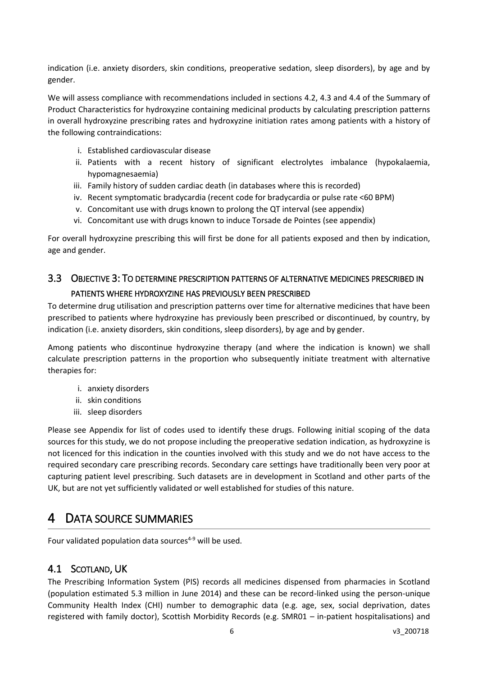indication (i.e. anxiety disorders, skin conditions, preoperative sedation, sleep disorders), by age and by gender.

We will assess compliance with recommendations included in sections 4.2, 4.3 and 4.4 of the Summary of Product Characteristics for hydroxyzine containing medicinal products by calculating prescription patterns in overall hydroxyzine prescribing rates and hydroxyzine initiation rates among patients with a history of the following contraindications:

- i. Established cardiovascular disease
- ii. Patients with a recent history of significant electrolytes imbalance (hypokalaemia, hypomagnesaemia)
- iii. Family history of sudden cardiac death (in databases where this is recorded)
- iv. Recent symptomatic bradycardia (recent code for bradycardia or pulse rate <60 BPM)
- v. Concomitant use with drugs known to prolong the QT interval (see appendix)
- vi. Concomitant use with drugs known to induce Torsade de Pointes (see appendix)

For overall hydroxyzine prescribing this will first be done for all patients exposed and then by indication, age and gender.

## <span id="page-5-0"></span>3.3 OBJECTIVE 3: TO DETERMINE PRESCRIPTION PATTERNS OF ALTERNATIVE MEDICINES PRESCRIBED IN PATIENTS WHERE HYDROXYZINE HAS PREVIOUSLY BEEN PRESCRIBED

### To determine drug utilisation and prescription patterns over time for alternative medicines that have been prescribed to patients where hydroxyzine has previously been prescribed or discontinued, by country, by indication (i.e. anxiety disorders, skin conditions, sleep disorders), by age and by gender.

Among patients who discontinue hydroxyzine therapy (and where the indication is known) we shall calculate prescription patterns in the proportion who subsequently initiate treatment with alternative therapies for:

- i. anxiety disorders
- ii. skin conditions
- iii. sleep disorders

Please see Appendix for list of codes used to identify these drugs. Following initial scoping of the data sources for this study, we do not propose including the preoperative sedation indication, as hydroxyzine is not licenced for this indication in the counties involved with this study and we do not have access to the required secondary care prescribing records. Secondary care settings have traditionally been very poor at capturing patient level prescribing. Such datasets are in development in Scotland and other parts of the UK, but are not yet sufficiently validated or well established for studies of this nature.

## <span id="page-5-1"></span>4 DATA SOURCE SUMMARIES

Four validated population data sources $4-9$  will be used.

### <span id="page-5-2"></span>4.1 SCOTLAND, UK

The Prescribing Information System (PIS) records all medicines dispensed from pharmacies in Scotland (population estimated 5.3 million in June 2014) and these can be record-linked using the person-unique Community Health Index (CHI) number to demographic data (e.g. age, sex, social deprivation, dates registered with family doctor), Scottish Morbidity Records (e.g. SMR01 – in-patient hospitalisations) and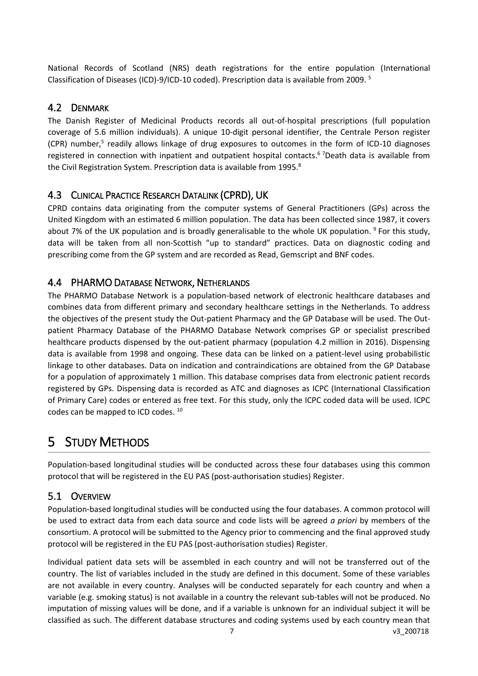National Records of Scotland (NRS) death registrations for the entire population (International Classification of Diseases (ICD)-9/ICD-10 coded). Prescription data is available from 2009. <sup>5</sup>

#### <span id="page-6-0"></span>4.2 DENMARK

The Danish Register of Medicinal Products records all out-of-hospital prescriptions (full population coverage of 5.6 million individuals). A unique 10-digit personal identifier, the Centrale Person register (CPR) number,<sup>5</sup> readily allows linkage of drug exposures to outcomes in the form of ICD-10 diagnoses registered in connection with inpatient and outpatient hospital contacts.<sup>67</sup>Death data is available from the Civil Registration System. Prescription data is available from 1995.<sup>8</sup>

### <span id="page-6-1"></span>4.3 CLINICAL PRACTICE RESEARCH DATALINK (CPRD), UK

CPRD contains data originating from the computer systems of General Practitioners (GPs) across the United Kingdom with an estimated 6 million population. The data has been collected since 1987, it covers about 7% of the UK population and is broadly generalisable to the whole UK population. <sup>9</sup> For this study, data will be taken from all non-Scottish "up to standard" practices. Data on diagnostic coding and prescribing come from the GP system and are recorded as Read, Gemscript and BNF codes.

### <span id="page-6-2"></span>4.4 PHARMO DATABASE NETWORK, NETHERLANDS

The PHARMO Database Network is a population-based network of electronic healthcare databases and combines data from different primary and secondary healthcare settings in the Netherlands. To address the objectives of the present study the Out-patient Pharmacy and the GP Database will be used. The Outpatient Pharmacy Database of the PHARMO Database Network comprises GP or specialist prescribed healthcare products dispensed by the out-patient pharmacy (population 4.2 million in 2016). Dispensing data is available from 1998 and ongoing. These data can be linked on a patient-level using probabilistic linkage to other databases. Data on indication and contraindications are obtained from the GP Database for a population of approximately 1 million. This database comprises data from electronic patient records registered by GPs. Dispensing data is recorded as ATC and diagnoses as ICPC (International Classification of Primary Care) codes or entered as free text. For this study, only the ICPC coded data will be used. ICPC codes can be mapped to ICD codes. <sup>10</sup>

## <span id="page-6-3"></span>5 STUDY METHODS

Population-based longitudinal studies will be conducted across these four databases using this common protocol that will be registered in the EU PAS (post-authorisation studies) Register.

## <span id="page-6-4"></span>5.1 OVERVIEW

Population-based longitudinal studies will be conducted using the four databases. A common protocol will be used to extract data from each data source and code lists will be agreed *a priori* by members of the consortium. A protocol will be submitted to the Agency prior to commencing and the final approved study protocol will be registered in the EU PAS (post-authorisation studies) Register.

7 v3\_200718 Individual patient data sets will be assembled in each country and will not be transferred out of the country. The list of variables included in the study are defined in this document. Some of these variables are not available in every country. Analyses will be conducted separately for each country and when a variable (e.g. smoking status) is not available in a country the relevant sub-tables will not be produced. No imputation of missing values will be done, and if a variable is unknown for an individual subject it will be classified as such. The different database structures and coding systems used by each country mean that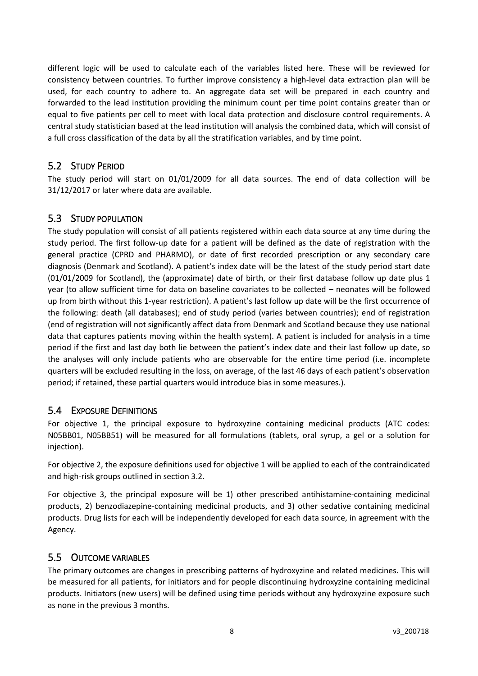different logic will be used to calculate each of the variables listed here. These will be reviewed for consistency between countries. To further improve consistency a high-level data extraction plan will be used, for each country to adhere to. An aggregate data set will be prepared in each country and forwarded to the lead institution providing the minimum count per time point contains greater than or equal to five patients per cell to meet with local data protection and disclosure control requirements. A central study statistician based at the lead institution will analysis the combined data, which will consist of a full cross classification of the data by all the stratification variables, and by time point.

#### <span id="page-7-0"></span>5.2 STUDY PERIOD

The study period will start on 01/01/2009 for all data sources. The end of data collection will be 31/12/2017 or later where data are available.

#### <span id="page-7-1"></span>5.3 STUDY POPULATION

The study population will consist of all patients registered within each data source at any time during the study period. The first follow-up date for a patient will be defined as the date of registration with the general practice (CPRD and PHARMO), or date of first recorded prescription or any secondary care diagnosis (Denmark and Scotland). A patient's index date will be the latest of the study period start date (01/01/2009 for Scotland), the (approximate) date of birth, or their first database follow up date plus 1 year (to allow sufficient time for data on baseline covariates to be collected – neonates will be followed up from birth without this 1-year restriction). A patient's last follow up date will be the first occurrence of the following: death (all databases); end of study period (varies between countries); end of registration (end of registration will not significantly affect data from Denmark and Scotland because they use national data that captures patients moving within the health system). A patient is included for analysis in a time period if the first and last day both lie between the patient's index date and their last follow up date, so the analyses will only include patients who are observable for the entire time period (i.e. incomplete quarters will be excluded resulting in the loss, on average, of the last 46 days of each patient's observation period; if retained, these partial quarters would introduce bias in some measures.).

#### <span id="page-7-2"></span>5.4 EXPOSURE DEFINITIONS

For objective 1, the principal exposure to hydroxyzine containing medicinal products (ATC codes: N05BB01, N05BB51) will be measured for all formulations (tablets, oral syrup, a gel or a solution for injection).

For objective 2, the exposure definitions used for objective 1 will be applied to each of the contraindicated and high-risk groups outlined in section [3.2.](#page-4-2)

For objective 3, the principal exposure will be 1) other prescribed antihistamine-containing medicinal products, 2) benzodiazepine-containing medicinal products, and 3) other sedative containing medicinal products. Drug lists for each will be independently developed for each data source, in agreement with the Agency.

#### <span id="page-7-3"></span>5.5 OUTCOME VARIABLES

The primary outcomes are changes in prescribing patterns of hydroxyzine and related medicines. This will be measured for all patients, for initiators and for people discontinuing hydroxyzine containing medicinal products. Initiators (new users) will be defined using time periods without any hydroxyzine exposure such as none in the previous 3 months.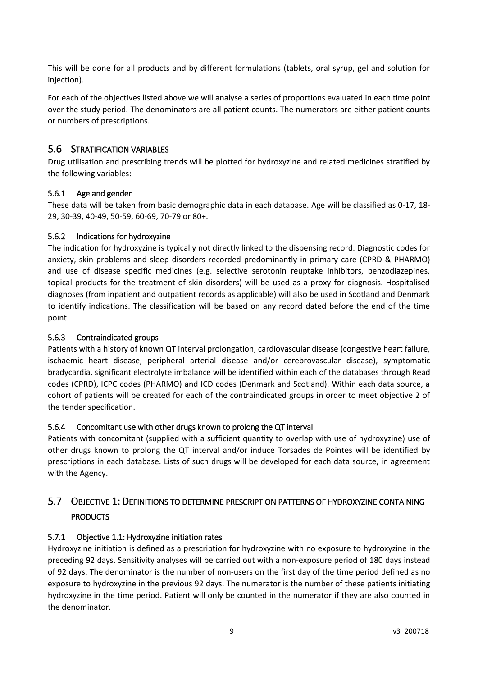This will be done for all products and by different formulations (tablets, oral syrup, gel and solution for injection).

For each of the objectives listed above we will analyse a series of proportions evaluated in each time point over the study period. The denominators are all patient counts. The numerators are either patient counts or numbers of prescriptions.

#### <span id="page-8-0"></span>5.6 STRATIFICATION VARIABLES

Drug utilisation and prescribing trends will be plotted for hydroxyzine and related medicines stratified by the following variables:

#### <span id="page-8-1"></span>5.6.1 Age and gender

These data will be taken from basic demographic data in each database. Age will be classified as 0-17, 18- 29, 30-39, 40-49, 50-59, 60-69, 70-79 or 80+.

#### <span id="page-8-2"></span>5.6.2 Indications for hydroxyzine

The indication for hydroxyzine is typically not directly linked to the dispensing record. Diagnostic codes for anxiety, skin problems and sleep disorders recorded predominantly in primary care (CPRD & PHARMO) and use of disease specific medicines (e.g. selective serotonin reuptake inhibitors, benzodiazepines, topical products for the treatment of skin disorders) will be used as a proxy for diagnosis. Hospitalised diagnoses (from inpatient and outpatient records as applicable) will also be used in Scotland and Denmark to identify indications. The classification will be based on any record dated before the end of the time point.

#### <span id="page-8-3"></span>5.6.3 Contraindicated groups

Patients with a history of known QT interval prolongation, cardiovascular disease (congestive heart failure, ischaemic heart disease, peripheral arterial disease and/or cerebrovascular disease), symptomatic bradycardia, significant electrolyte imbalance will be identified within each of the databases through Read codes (CPRD), ICPC codes (PHARMO) and ICD codes (Denmark and Scotland). Within each data source, a cohort of patients will be created for each of the contraindicated groups in order to meet objective 2 of the tender specification.

#### <span id="page-8-4"></span>5.6.4 Concomitant use with other drugs known to prolong the QT interval

Patients with concomitant (supplied with a sufficient quantity to overlap with use of hydroxyzine) use of other drugs known to prolong the QT interval and/or induce Torsades de Pointes will be identified by prescriptions in each database. Lists of such drugs will be developed for each data source, in agreement with the Agency.

## <span id="page-8-5"></span>5.7 OBJECTIVE 1: DEFINITIONS TO DETERMINE PRESCRIPTION PATTERNS OF HYDROXYZINE CONTAINING PRODUCTS

#### <span id="page-8-6"></span>5.7.1 Objective 1.1: Hydroxyzine initiation rates

Hydroxyzine initiation is defined as a prescription for hydroxyzine with no exposure to hydroxyzine in the preceding 92 days. Sensitivity analyses will be carried out with a non-exposure period of 180 days instead of 92 days. The denominator is the number of non-users on the first day of the time period defined as no exposure to hydroxyzine in the previous 92 days. The numerator is the number of these patients initiating hydroxyzine in the time period. Patient will only be counted in the numerator if they are also counted in the denominator.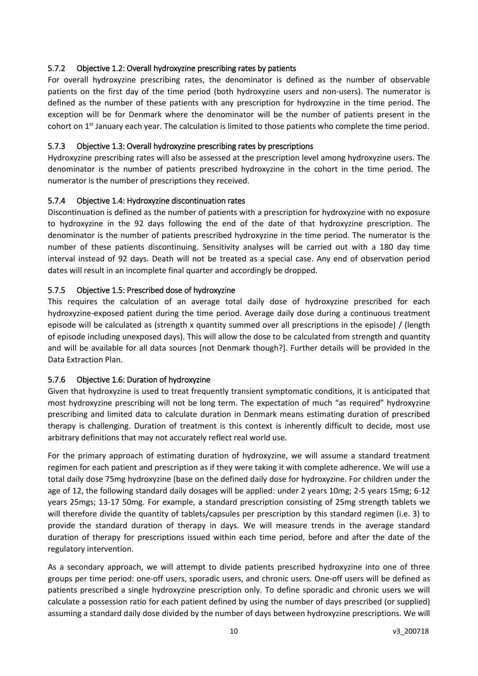#### <span id="page-9-0"></span>5.7.2 Objective 1.2: Overall hydroxyzine prescribing rates by patients

For overall hydroxyzine prescribing rates, the denominator is defined as the number of observable patients on the first day of the time period (both hydroxyzine users and non-users). The numerator is defined as the number of these patients with any prescription for hydroxyzine in the time period. The exception will be for Denmark where the denominator will be the number of patients present in the cohort on  $1<sup>st</sup>$  January each year. The calculation is limited to those patients who complete the time period.

#### <span id="page-9-1"></span>5.7.3 Objective 1.3: Overall hydroxyzine prescribing rates by prescriptions

Hydroxyzine prescribing rates will also be assessed at the prescription level among hydroxyzine users. The denominator is the number of patients prescribed hydroxyzine in the cohort in the time period. The numerator is the number of prescriptions they received.

#### <span id="page-9-2"></span>5.7.4 Objective 1.4: Hydroxyzine discontinuation rates

Discontinuation is defined as the number of patients with a prescription for hydroxyzine with no exposure to hydroxyzine in the 92 days following the end of the date of that hydroxyzine prescription. The denominator is the number of patients prescribed hydroxyzine in the time period. The numerator is the number of these patients discontinuing. Sensitivity analyses will be carried out with a 180 day time interval instead of 92 days. Death will not be treated as a special case. Any end of observation period dates will result in an incomplete final quarter and accordingly be dropped.

#### <span id="page-9-3"></span>5.7.5 Objective 1.5: Prescribed dose of hydroxyzine

This requires the calculation of an average total daily dose of hydroxyzine prescribed for each hydroxyzine-exposed patient during the time period. Average daily dose during a continuous treatment episode will be calculated as (strength x quantity summed over all prescriptions in the episode) / (length of episode including unexposed days). This will allow the dose to be calculated from strength and quantity and will be available for all data sources [not Denmark though?]. Further details will be provided in the Data Extraction Plan.

#### <span id="page-9-4"></span>5.7.6 Objective 1.6: Duration of hydroxyzine

Given that hydroxyzine is used to treat frequently transient symptomatic conditions, it is anticipated that most hydroxyzine prescribing will not be long term. The expectation of much "as required" hydroxyzine prescribing and limited data to calculate duration in Denmark means estimating duration of prescribed therapy is challenging. Duration of treatment is this context is inherently difficult to decide, most use arbitrary definitions that may not accurately reflect real world use.

For the primary approach of estimating duration of hydroxyzine, we will assume a standard treatment regimen for each patient and prescription as if they were taking it with complete adherence. We will use a total daily dose 75mg hydroxyzine (base on the defined daily dose for hydroxyzine. For children under the age of 12, the following standard daily dosages will be applied: under 2 years 10mg; 2-5 years 15mg; 6-12 years 25mgs; 13-17 50mg. For example, a standard prescription consisting of 25mg strength tablets we will therefore divide the quantity of tablets/capsules per prescription by this standard regimen (i.e. 3) to provide the standard duration of therapy in days. We will measure trends in the average standard duration of therapy for prescriptions issued within each time period, before and after the date of the regulatory intervention.

As a secondary approach, we will attempt to divide patients prescribed hydroxyzine into one of three groups per time period: one-off users, sporadic users, and chronic users. One-off users will be defined as patients prescribed a single hydroxyzine prescription only. To define sporadic and chronic users we will calculate a possession ratio for each patient defined by using the number of days prescribed (or supplied) assuming a standard daily dose divided by the number of days between hydroxyzine prescriptions. We will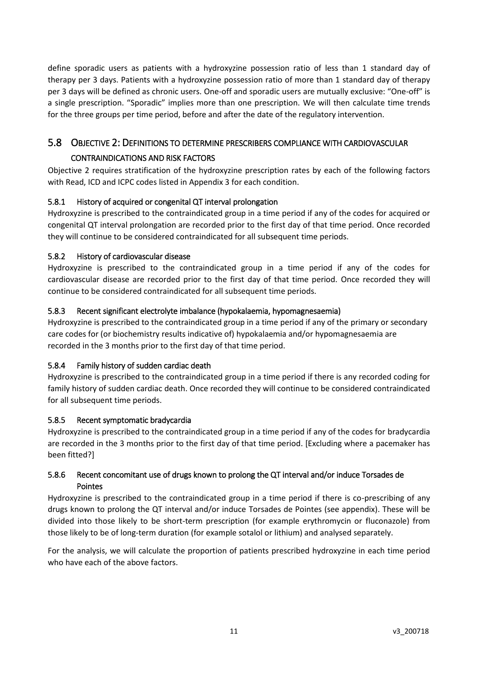define sporadic users as patients with a hydroxyzine possession ratio of less than 1 standard day of therapy per 3 days. Patients with a hydroxyzine possession ratio of more than 1 standard day of therapy per 3 days will be defined as chronic users. One-off and sporadic users are mutually exclusive: "One-off" is a single prescription. "Sporadic" implies more than one prescription. We will then calculate time trends for the three groups per time period, before and after the date of the regulatory intervention.

## <span id="page-10-0"></span>5.8 OBJECTIVE 2: DEFINITIONS TO DETERMINE PRESCRIBERS COMPLIANCE WITH CARDIOVASCULAR CONTRAINDICATIONS AND RISK FACTORS

Objective 2 requires stratification of the hydroxyzine prescription rates by each of the following factors with Read, ICD and ICPC codes listed in Appendix 3 for each condition.

#### <span id="page-10-1"></span>5.8.1 History of acquired or congenital QT interval prolongation

Hydroxyzine is prescribed to the contraindicated group in a time period if any of the codes for acquired or congenital QT interval prolongation are recorded prior to the first day of that time period. Once recorded they will continue to be considered contraindicated for all subsequent time periods.

#### <span id="page-10-2"></span>5.8.2 History of cardiovascular disease

Hydroxyzine is prescribed to the contraindicated group in a time period if any of the codes for cardiovascular disease are recorded prior to the first day of that time period. Once recorded they will continue to be considered contraindicated for all subsequent time periods.

#### <span id="page-10-3"></span>5.8.3 Recent significant electrolyte imbalance (hypokalaemia, hypomagnesaemia)

Hydroxyzine is prescribed to the contraindicated group in a time period if any of the primary or secondary care codes for (or biochemistry results indicative of) hypokalaemia and/or hypomagnesaemia are recorded in the 3 months prior to the first day of that time period.

#### <span id="page-10-4"></span>5.8.4 Family history of sudden cardiac death

Hydroxyzine is prescribed to the contraindicated group in a time period if there is any recorded coding for family history of sudden cardiac death. Once recorded they will continue to be considered contraindicated for all subsequent time periods.

#### <span id="page-10-5"></span>5.8.5 Recent symptomatic bradycardia

Hydroxyzine is prescribed to the contraindicated group in a time period if any of the codes for bradycardia are recorded in the 3 months prior to the first day of that time period. [Excluding where a pacemaker has been fitted?]

#### <span id="page-10-6"></span>5.8.6 Recent concomitant use of drugs known to prolong the QT interval and/or induce Torsades de Pointes

Hydroxyzine is prescribed to the contraindicated group in a time period if there is co-prescribing of any drugs known to prolong the QT interval and/or induce Torsades de Pointes (see appendix). These will be divided into those likely to be short-term prescription (for example erythromycin or fluconazole) from those likely to be of long-term duration (for example sotalol or lithium) and analysed separately.

For the analysis, we will calculate the proportion of patients prescribed hydroxyzine in each time period who have each of the above factors.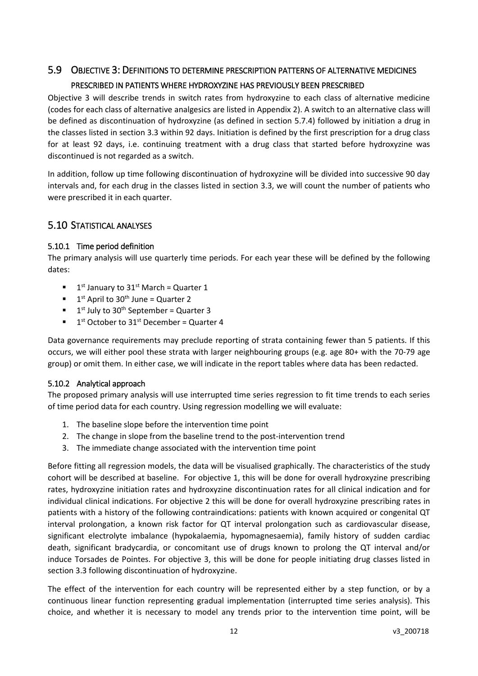## <span id="page-11-0"></span>5.9 OBJECTIVE 3: DEFINITIONS TO DETERMINE PRESCRIPTION PATTERNS OF ALTERNATIVE MEDICINES PRESCRIBED IN PATIENTS WHERE HYDROXYZINE HAS PREVIOUSLY BEEN PRESCRIBED

Objective 3 will describe trends in switch rates from hydroxyzine to each class of alternative medicine (codes for each class of alternative analgesics are listed in Appendix 2). A switch to an alternative class will be defined as discontinuation of hydroxyzine (as defined in section [5.7.4\)](#page-9-2) followed by initiation a drug in the classes listed in section [3.3](#page-5-0) within 92 days. Initiation is defined by the first prescription for a drug class for at least 92 days, i.e. continuing treatment with a drug class that started before hydroxyzine was discontinued is not regarded as a switch.

In addition, follow up time following discontinuation of hydroxyzine will be divided into successive 90 day intervals and, for each drug in the classes listed in section [3.3,](#page-5-0) we will count the number of patients who were prescribed it in each quarter.

### <span id="page-11-1"></span>5.10 STATISTICAL ANALYSES

#### <span id="page-11-2"></span>5.10.1 Time period definition

The primary analysis will use quarterly time periods. For each year these will be defined by the following dates:

- $\blacksquare$  1<sup>st</sup> January to 31<sup>st</sup> March = Quarter 1
- $\blacksquare$  1<sup>st</sup> April to 30<sup>th</sup> June = Quarter 2
- $\blacksquare$  1<sup>st</sup> July to 30<sup>th</sup> September = Quarter 3
- $\blacksquare$  1<sup>st</sup> October to 31<sup>st</sup> December = Quarter 4

Data governance requirements may preclude reporting of strata containing fewer than 5 patients. If this occurs, we will either pool these strata with larger neighbouring groups (e.g. age 80+ with the 70-79 age group) or omit them. In either case, we will indicate in the report tables where data has been redacted.

#### <span id="page-11-3"></span>5.10.2 Analytical approach

The proposed primary analysis will use interrupted time series regression to fit time trends to each series of time period data for each country. Using regression modelling we will evaluate:

- 1. The baseline slope before the intervention time point
- 2. The change in slope from the baseline trend to the post-intervention trend
- 3. The immediate change associated with the intervention time point

Before fitting all regression models, the data will be visualised graphically. The characteristics of the study cohort will be described at baseline. For objective 1, this will be done for overall hydroxyzine prescribing rates, hydroxyzine initiation rates and hydroxyzine discontinuation rates for all clinical indication and for individual clinical indications. For objective 2 this will be done for overall hydroxyzine prescribing rates in patients with a history of the following contraindications: patients with known acquired or congenital QT interval prolongation, a known risk factor for QT interval prolongation such as cardiovascular disease, significant electrolyte imbalance (hypokalaemia, hypomagnesaemia), family history of sudden cardiac death, significant bradycardia, or concomitant use of drugs known to prolong the QT interval and/or induce Torsades de Pointes. For objective 3, this will be done for people initiating drug classes listed in section 3.3 following discontinuation of hydroxyzine.

The effect of the intervention for each country will be represented either by a step function, or by a continuous linear function representing gradual implementation (interrupted time series analysis). This choice, and whether it is necessary to model any trends prior to the intervention time point, will be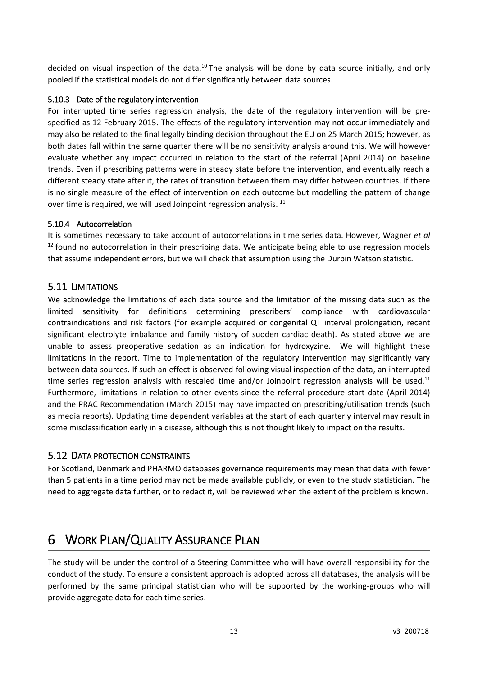decided on visual inspection of the data.<sup>10</sup> The analysis will be done by data source initially, and only pooled if the statistical models do not differ significantly between data sources.

#### <span id="page-12-0"></span>5.10.3 Date of the regulatory intervention

For interrupted time series regression analysis, the date of the regulatory intervention will be prespecified as 12 February 2015. The effects of the regulatory intervention may not occur immediately and may also be related to the final legally binding decision throughout the EU on 25 March 2015; however, as both dates fall within the same quarter there will be no sensitivity analysis around this. We will however evaluate whether any impact occurred in relation to the start of the referral (April 2014) on baseline trends. Even if prescribing patterns were in steady state before the intervention, and eventually reach a different steady state after it, the rates of transition between them may differ between countries. If there is no single measure of the effect of intervention on each outcome but modelling the pattern of change over time is required, we will used Joinpoint regression analysis. <sup>11</sup>

#### <span id="page-12-1"></span>5.10.4 Autocorrelation

It is sometimes necessary to take account of autocorrelations in time series data. However, Wagner *et al*  $12$  found no autocorrelation in their prescribing data. We anticipate being able to use regression models that assume independent errors, but we will check that assumption using the Durbin Watson statistic.

#### <span id="page-12-2"></span>5.11 LIMITATIONS

We acknowledge the limitations of each data source and the limitation of the missing data such as the limited sensitivity for definitions determining prescribers' compliance with cardiovascular contraindications and risk factors (for example acquired or congenital QT interval prolongation, recent significant electrolyte imbalance and family history of sudden cardiac death). As stated above we are unable to assess preoperative sedation as an indication for hydroxyzine. We will highlight these limitations in the report. Time to implementation of the regulatory intervention may significantly vary between data sources. If such an effect is observed following visual inspection of the data, an interrupted time series regression analysis with rescaled time and/or Joinpoint regression analysis will be used.<sup>11</sup> Furthermore, limitations in relation to other events since the referral procedure start date (April 2014) and the PRAC Recommendation (March 2015) may have impacted on prescribing/utilisation trends (such as media reports). Updating time dependent variables at the start of each quarterly interval may result in some misclassification early in a disease, although this is not thought likely to impact on the results.

#### <span id="page-12-3"></span>5.12 DATA PROTECTION CONSTRAINTS

For Scotland, Denmark and PHARMO databases governance requirements may mean that data with fewer than 5 patients in a time period may not be made available publicly, or even to the study statistician. The need to aggregate data further, or to redact it, will be reviewed when the extent of the problem is known.

## <span id="page-12-4"></span>6 WORK PLAN/QUALITY ASSURANCE PLAN

The study will be under the control of a Steering Committee who will have overall responsibility for the conduct of the study. To ensure a consistent approach is adopted across all databases, the analysis will be performed by the same principal statistician who will be supported by the working-groups who will provide aggregate data for each time series.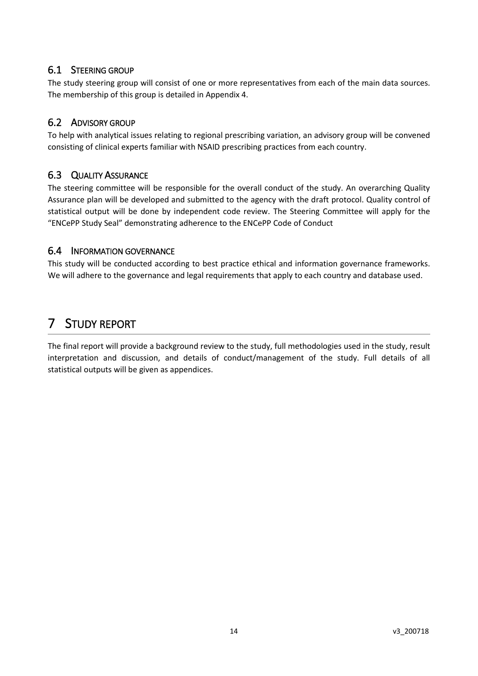### <span id="page-13-0"></span>6.1 STEERING GROUP

The study steering group will consist of one or more representatives from each of the main data sources. The membership of this group is detailed in Appendix 4.

### <span id="page-13-1"></span>6.2 ADVISORY GROUP

To help with analytical issues relating to regional prescribing variation, an advisory group will be convened consisting of clinical experts familiar with NSAID prescribing practices from each country.

### <span id="page-13-2"></span>6.3 QUALITY ASSURANCE

The steering committee will be responsible for the overall conduct of the study. An overarching Quality Assurance plan will be developed and submitted to the agency with the draft protocol. Quality control of statistical output will be done by independent code review. The Steering Committee will apply for the "ENCePP Study Seal" demonstrating adherence to the ENCePP Code of Conduct

#### <span id="page-13-3"></span>6.4 INFORMATION GOVERNANCE

This study will be conducted according to best practice ethical and information governance frameworks. We will adhere to the governance and legal requirements that apply to each country and database used.

## <span id="page-13-4"></span>7 STUDY REPORT

The final report will provide a background review to the study, full methodologies used in the study, result interpretation and discussion, and details of conduct/management of the study. Full details of all statistical outputs will be given as appendices.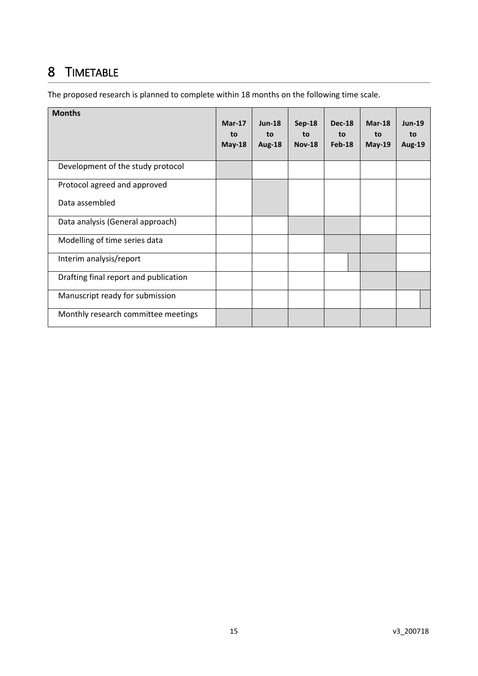## <span id="page-14-0"></span>8 TIMETABLE

The proposed research is planned to complete within 18 months on the following time scale.

| <b>Months</b>                         | $Mar-17$<br>to<br>$May-18$ | $Jun-18$<br>to<br>Aug-18 | <b>Sep-18</b><br>to<br><b>Nov-18</b> | <b>Dec-18</b><br>to<br>$Feb-18$ | $Mar-18$<br>to<br>$May-19$ | $Jun-19$<br>to<br><b>Aug-19</b> |
|---------------------------------------|----------------------------|--------------------------|--------------------------------------|---------------------------------|----------------------------|---------------------------------|
| Development of the study protocol     |                            |                          |                                      |                                 |                            |                                 |
| Protocol agreed and approved          |                            |                          |                                      |                                 |                            |                                 |
| Data assembled                        |                            |                          |                                      |                                 |                            |                                 |
| Data analysis (General approach)      |                            |                          |                                      |                                 |                            |                                 |
| Modelling of time series data         |                            |                          |                                      |                                 |                            |                                 |
| Interim analysis/report               |                            |                          |                                      |                                 |                            |                                 |
| Drafting final report and publication |                            |                          |                                      |                                 |                            |                                 |
| Manuscript ready for submission       |                            |                          |                                      |                                 |                            |                                 |
| Monthly research committee meetings   |                            |                          |                                      |                                 |                            |                                 |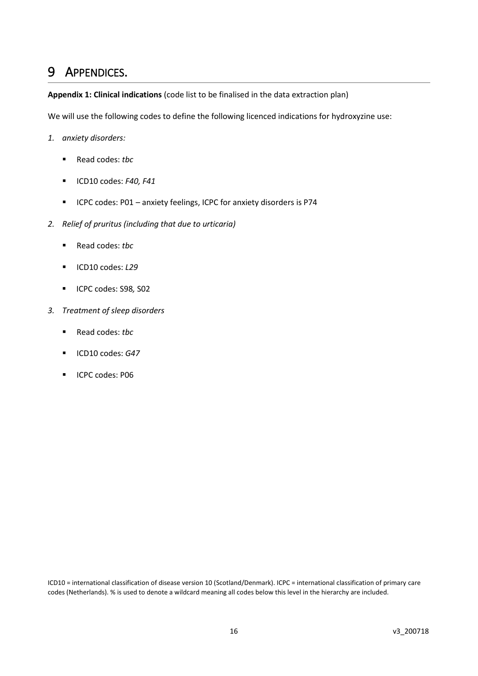## <span id="page-15-0"></span>9 APPENDICES.

**Appendix 1: Clinical indications** (code list to be finalised in the data extraction plan)

We will use the following codes to define the following licenced indications for hydroxyzine use:

- *1. anxiety disorders:*
	- Read codes: *tbc*
	- ICD10 codes: *F40, F41*
	- ICPC codes: P01 anxiety feelings, ICPC for anxiety disorders is P74
- *2. Relief of pruritus (including that due to urticaria)*
	- Read codes: *tbc*
	- ICD10 codes: *L29*
	- ICPC codes: S98*,* S02
- *3. Treatment of sleep disorders*
	- Read codes: *tbc*
	- ICD10 codes: *G47*
	- ICPC codes: P06

ICD10 = international classification of disease version 10 (Scotland/Denmark). ICPC = international classification of primary care codes (Netherlands). % is used to denote a wildcard meaning all codes below this level in the hierarchy are included.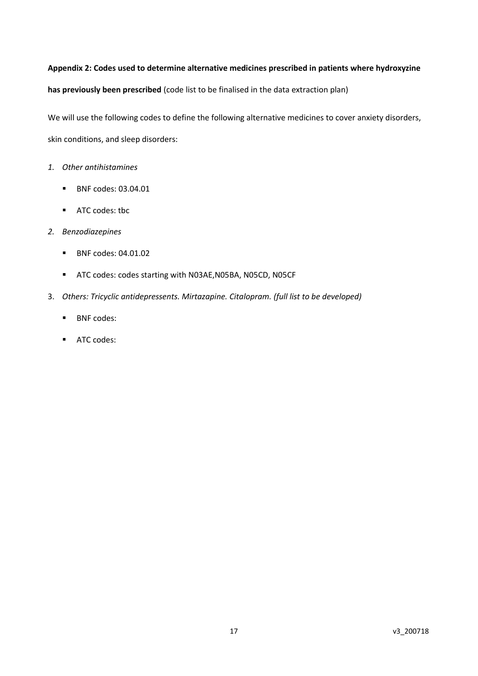**Appendix 2: Codes used to determine alternative medicines prescribed in patients where hydroxyzine has previously been prescribed** (code list to be finalised in the data extraction plan)

We will use the following codes to define the following alternative medicines to cover anxiety disorders, skin conditions, and sleep disorders:

- *1. Other antihistamines*
	- BNF codes: 03.04.01
	- ATC codes: tbc
- *2. Benzodiazepines*
	- BNF codes: 04.01.02
	- ATC codes: codes starting with N03AE,N05BA, N05CD, N05CF
- 3. *Others: Tricyclic antidepressents. Mirtazapine. Citalopram. (full list to be developed)*
	- BNF codes:
	- ATC codes: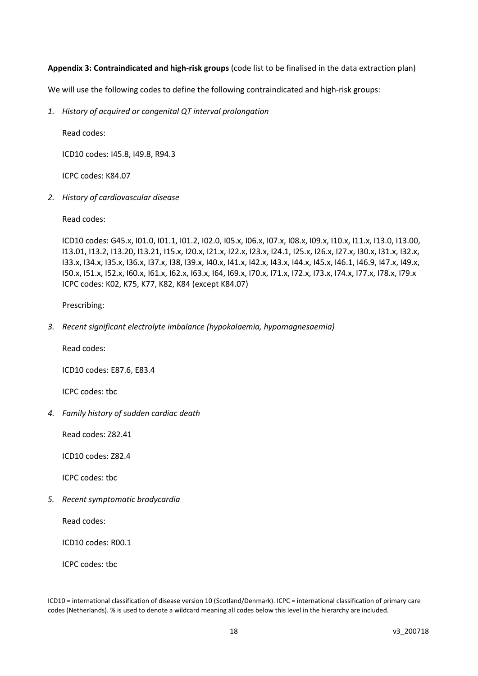#### **Appendix 3: Contraindicated and high-risk groups** (code list to be finalised in the data extraction plan)

We will use the following codes to define the following contraindicated and high-risk groups:

*1. History of acquired or congenital QT interval prolongation* 

Read codes:

ICD10 codes: I45.8, I49.8, R94.3

ICPC codes: K84.07

*2. History of cardiovascular disease*

Read codes:

ICD10 codes: G45.x, I01.0, I01.1, I01.2, I02.0, I05.x, I06.x, I07.x, I08.x, I09.x, I10.x, I11.x, I13.0, I13.00, I13.01, I13.2, I13.20, I13.21, I15.x, I20.x, I21.x, I22.x, I23.x, I24.1, I25.x, I26.x, I27.x, I30.x, I31.x, I32.x, I33.x, I34.x, I35.x, I36.x, I37.x, I38, I39.x, I40.x, I41.x, I42.x, I43.x, I44.x, I45.x, I46.1, I46.9, I47.x, I49.x, I50.x, I51.x, I52.x, I60.x, I61.x, I62.x, I63.x, I64, I69.x, I70.x, I71.x, I72.x, I73.x, I74.x, I77.x, I78.x, I79.x ICPC codes: K02, K75, K77, K82, K84 (except K84.07)

Prescribing:

*3. Recent significant electrolyte imbalance (hypokalaemia, hypomagnesaemia)*

Read codes:

ICD10 codes: E87.6, E83.4

ICPC codes: tbc

*4. Family history of sudden cardiac death*

Read codes: Z82.41

ICD10 codes: Z82.4

ICPC codes: tbc

*5. Recent symptomatic bradycardia*

Read codes:

ICD10 codes: R00.1

ICPC codes: tbc

ICD10 = international classification of disease version 10 (Scotland/Denmark). ICPC = international classification of primary care codes (Netherlands). % is used to denote a wildcard meaning all codes below this level in the hierarchy are included.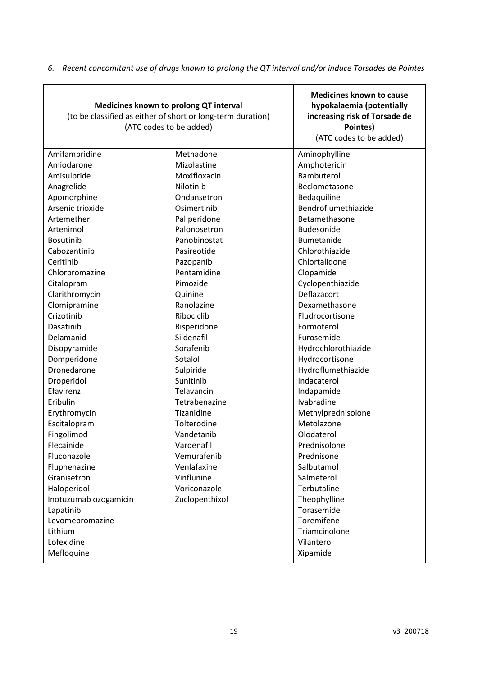| Medicines known to prolong QT interval<br>(to be classified as either of short or long-term duration)<br>(ATC codes to be added) | <b>Medicines known to cause</b><br>hypokalaemia (potentially<br>increasing risk of Torsade de<br>Pointes)<br>(ATC codes to be added) |                     |  |  |
|----------------------------------------------------------------------------------------------------------------------------------|--------------------------------------------------------------------------------------------------------------------------------------|---------------------|--|--|
| Amifampridine                                                                                                                    | Methadone                                                                                                                            | Aminophylline       |  |  |
| Amiodarone                                                                                                                       | Mizolastine                                                                                                                          | Amphotericin        |  |  |
| Amisulpride                                                                                                                      | Moxifloxacin                                                                                                                         | Bambuterol          |  |  |
| Anagrelide                                                                                                                       | Nilotinib                                                                                                                            | Beclometasone       |  |  |
| Apomorphine                                                                                                                      | Ondansetron                                                                                                                          | Bedaquiline         |  |  |
| Arsenic trioxide                                                                                                                 | Osimertinib                                                                                                                          | Bendroflumethiazide |  |  |
| Artemether                                                                                                                       | Paliperidone                                                                                                                         | Betamethasone       |  |  |
| Artenimol                                                                                                                        | Palonosetron                                                                                                                         | Budesonide          |  |  |
| <b>Bosutinib</b>                                                                                                                 | Panobinostat                                                                                                                         | Bumetanide          |  |  |
| Cabozantinib                                                                                                                     | Pasireotide                                                                                                                          | Chlorothiazide      |  |  |
| Ceritinib                                                                                                                        | Pazopanib                                                                                                                            | Chlortalidone       |  |  |
| Chlorpromazine                                                                                                                   | Pentamidine                                                                                                                          | Clopamide           |  |  |
| Citalopram                                                                                                                       | Pimozide                                                                                                                             | Cyclopenthiazide    |  |  |
| Clarithromycin                                                                                                                   | Quinine                                                                                                                              | Deflazacort         |  |  |
| Clomipramine                                                                                                                     | Ranolazine                                                                                                                           | Dexamethasone       |  |  |
| Crizotinib                                                                                                                       | Ribociclib                                                                                                                           | Fludrocortisone     |  |  |
| Dasatinib                                                                                                                        | Risperidone                                                                                                                          | Formoterol          |  |  |
| Delamanid                                                                                                                        | Sildenafil                                                                                                                           | Furosemide          |  |  |
| Disopyramide                                                                                                                     | Sorafenib                                                                                                                            | Hydrochlorothiazide |  |  |
| Domperidone                                                                                                                      | Sotalol                                                                                                                              | Hydrocortisone      |  |  |
| Dronedarone                                                                                                                      | Sulpiride                                                                                                                            | Hydroflumethiazide  |  |  |
| Droperidol                                                                                                                       | Sunitinib                                                                                                                            | Indacaterol         |  |  |
| Efavirenz                                                                                                                        | Telavancin                                                                                                                           | Indapamide          |  |  |
| Eribulin                                                                                                                         | Tetrabenazine                                                                                                                        | Ivabradine          |  |  |
| Erythromycin                                                                                                                     | Tizanidine                                                                                                                           | Methylprednisolone  |  |  |
| Escitalopram                                                                                                                     | Tolterodine                                                                                                                          | Metolazone          |  |  |
| Fingolimod                                                                                                                       | Vandetanib                                                                                                                           | Olodaterol          |  |  |
| Flecainide                                                                                                                       | Vardenafil                                                                                                                           | Prednisolone        |  |  |
| Fluconazole                                                                                                                      | Vemurafenib                                                                                                                          | Prednisone          |  |  |
| Fluphenazine                                                                                                                     | Venlafaxine                                                                                                                          | Salbutamol          |  |  |
| Granisetron                                                                                                                      | Vinflunine                                                                                                                           | Salmeterol          |  |  |
| Haloperidol                                                                                                                      | Voriconazole                                                                                                                         | Terbutaline         |  |  |
| Inotuzumab ozogamicin                                                                                                            | Zuclopenthixol                                                                                                                       | Theophylline        |  |  |
| Lapatinib                                                                                                                        |                                                                                                                                      | Torasemide          |  |  |
| Levomepromazine                                                                                                                  |                                                                                                                                      | Toremifene          |  |  |
| Lithium                                                                                                                          |                                                                                                                                      | Triamcinolone       |  |  |
| Lofexidine                                                                                                                       |                                                                                                                                      | Vilanterol          |  |  |
| Mefloquine                                                                                                                       |                                                                                                                                      | Xipamide            |  |  |

*6. Recent concomitant use of drugs known to prolong the QT interval and/or induce Torsades de Pointes*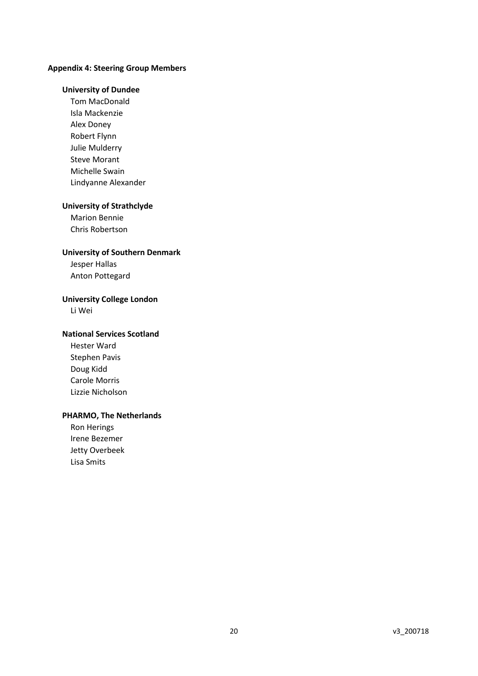#### **Appendix 4: Steering Group Members**

#### **University of Dundee**

Tom MacDonald Isla Mackenzie Alex Doney Robert Flynn Julie Mulderry Steve Morant Michelle Swain Lindyanne Alexander

#### **University of Strathclyde**

Marion Bennie Chris Robertson

#### **University of Southern Denmark**

Jesper Hallas Anton Pottegard

#### **University College London**

Li Wei

#### **National Services Scotland**

Hester Ward Stephen Pavis Doug Kidd Carole Morris Lizzie Nicholson

#### **PHARMO, The Netherlands**

Ron Herings Irene Bezemer Jetty Overbeek Lisa Smits